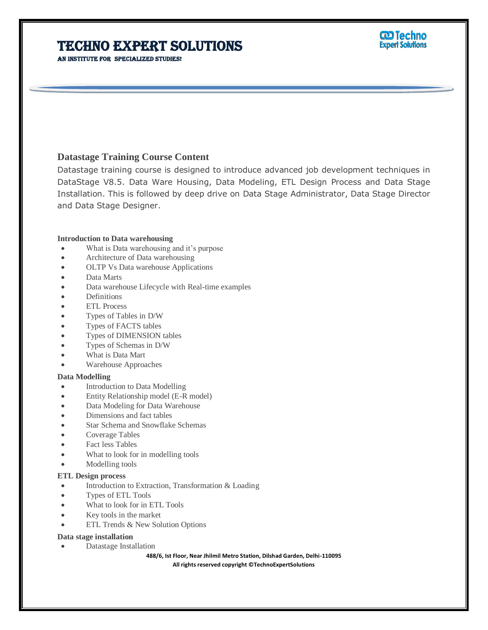**CD Techno Expert Solutions** 

### An institute for specialized studies!

## **Datastage Training Course Content**

Datastage training course is designed to introduce advanced job development techniques in DataStage V8.5. Data Ware Housing, Data Modeling, ETL Design Process and Data Stage Installation. This is followed by deep drive on Data Stage Administrator, Data Stage Director and Data Stage Designer.

### **Introduction to Data warehousing**

- What is Data warehousing and it's purpose
- Architecture of Data warehousing
- OLTP Vs Data warehouse Applications
- Data Marts
- Data warehouse Lifecycle with Real-time examples
- Definitions
- ETL Process
- Types of Tables in D/W
- Types of FACTS tables
- Types of DIMENSION tables
- Types of Schemas in D/W
- What is Data Mart
- Warehouse Approaches

### **Data Modelling**

- Introduction to Data Modelling
- Entity Relationship model (E-R model)
- Data Modeling for Data Warehouse
- Dimensions and fact tables
- Star Schema and Snowflake Schemas
- Coverage Tables
- Fact less Tables
- What to look for in modelling tools
- Modelling tools

### **ETL Design process**

- Introduction to Extraction, Transformation & Loading
- Types of ETL Tools
- What to look for in ETL Tools
- Key tools in the market
- ETL Trends & New Solution Options

### **Data stage installation**

Datastage Installation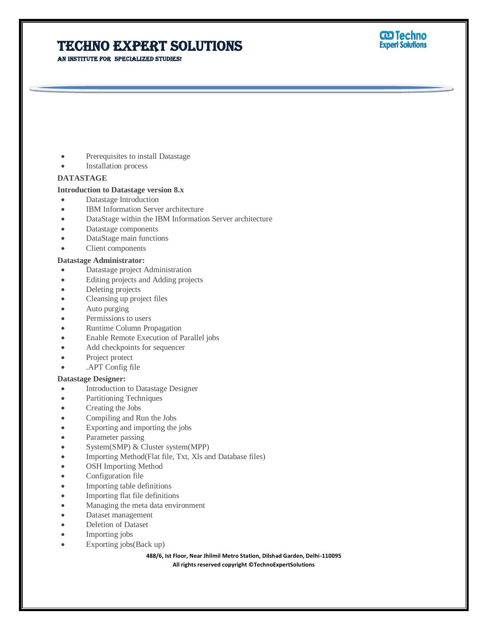AN INSTITUTE FOR SPECIALIZED STUDIES!



- Prerequisites to install Datastage
- Installation process

#### **DATASTAGE**

### **Introduction to Datastage version 8.x**

- Datastage Introduction
- IBM Information Server architecture
- DataStage within the IBM Information Server architecture
- Datastage components
- DataStage main functions
- Client components

## **Datastage Administrator:**

- Datastage project Administration
- Editing projects and Adding projects
- Deleting projects
- Cleansing up project files
- Auto purging
- Permissions to users
- Runtime Column Propagation
- Enable Remote Execution of Parallel jobs
- Add checkpoints for sequencer
- Project protect
- .APT Config file

#### **Datastage Designer:**

- **Introduction to Datastage Designer**
- Partitioning Techniques
- Creating the Jobs
- Compiling and Run the Jobs
- Exporting and importing the jobs
- Parameter passing
- System(SMP) & Cluster system(MPP)
- Importing Method(Flat file, Txt, Xls and Database files)
- OSH Importing Method
- Configuration file
- Importing table definitions
- Importing flat file definitions
- Managing the meta data environment
- Dataset management
- Deletion of Dataset
- Importing jobs
- Exporting jobs(Back up)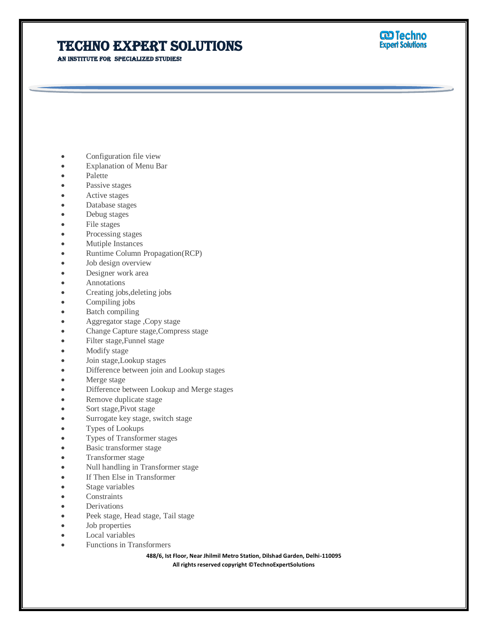# **TECHNO EXPERT SOLUTIONS**

AN INSTITUTE FOR SPECIALIZED STUDIES!



- Configuration file view
- Explanation of Menu Bar
- Palette
- Passive stages
- Active stages
- Database stages
- Debug stages
- File stages
- Processing stages
- Mutiple Instances
- Runtime Column Propagation(RCP)
- Job design overview
- Designer work area
- Annotations
- Creating jobs,deleting jobs
- Compiling jobs
- Batch compiling
- Aggregator stage ,Copy stage
- Change Capture stage,Compress stage
- Filter stage,Funnel stage
- Modify stage
- Join stage,Lookup stages
- Difference between join and Lookup stages
- Merge stage
- Difference between Lookup and Merge stages
- Remove duplicate stage
- Sort stage,Pivot stage
- Surrogate key stage, switch stage
- Types of Lookups
- Types of Transformer stages
- Basic transformer stage
- Transformer stage
- Null handling in Transformer stage
- If Then Else in Transformer
- Stage variables
- **Constraints**
- Derivations
- Peek stage, Head stage, Tail stage
- Job properties
- Local variables
- Functions in Transformers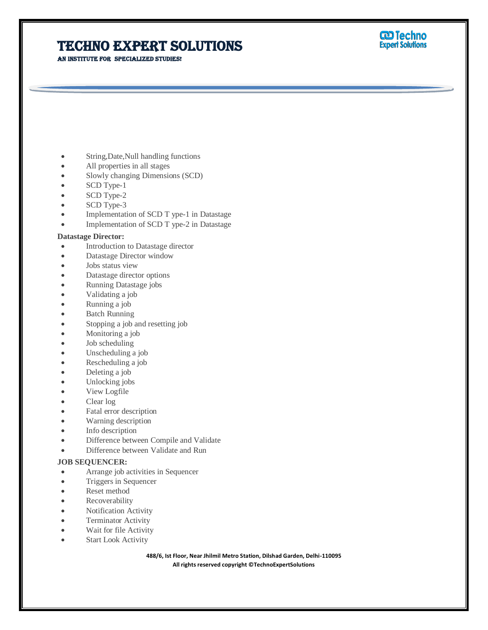AN INSTITUTE FOR SPECIALIZED STUDIES!



- String,Date,Null handling functions
- All properties in all stages
- Slowly changing Dimensions (SCD)
- SCD Type-1
- SCD Type-2
- SCD Type-3
- Implementation of SCD T ype-1 in Datastage
- Implementation of SCD T ype-2 in Datastage

#### **Datastage Director:**

- Introduction to Datastage director
- Datastage Director window
- Jobs status view
- Datastage director options
- Running Datastage jobs
- Validating a job
- Running a job
- Batch Running
- Stopping a job and resetting job
- Monitoring a job
- Job scheduling
- Unscheduling a job
- Rescheduling a job
- Deleting a job
- Unlocking jobs
- View Logfile
- Clear log
- Fatal error description
- Warning description
- Info description
- Difference between Compile and Validate
- Difference between Validate and Run

#### **JOB SEQUENCER:**

- Arrange job activities in Sequencer
- Triggers in Sequencer
- Reset method
- Recoverability
- Notification Activity
- Terminator Activity
- Wait for file Activity
- Start Look Activity